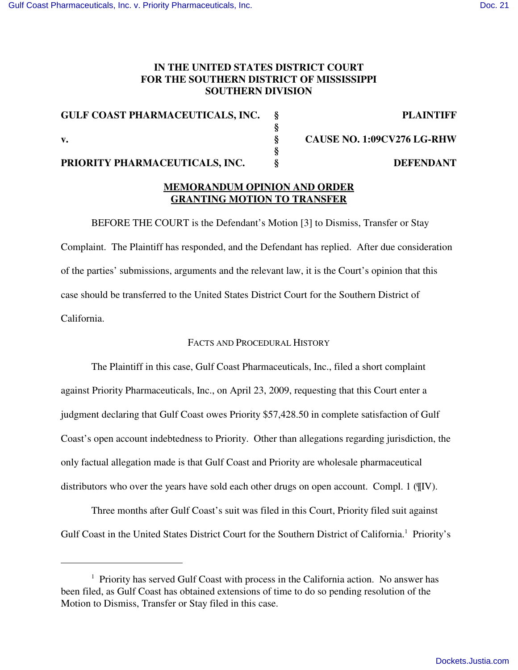# **IN THE UNITED STATES DISTRICT COURT FOR THE SOUTHERN DISTRICT OF MISSISSIPPI SOUTHERN DIVISION**

| <b>GULF COAST PHARMACEUTICALS, INC.</b> | <b>PLAINTIFF</b>                  |
|-----------------------------------------|-----------------------------------|
|                                         |                                   |
| v.                                      | <b>CAUSE NO. 1:09CV276 LG-RHW</b> |
|                                         |                                   |
| PRIORITY PHARMACEUTICALS, INC.          | <b>DEFENDANT</b>                  |

# **MEMORANDUM OPINION AND ORDER GRANTING MOTION TO TRANSFER**

BEFORE THE COURT is the Defendant's Motion [3] to Dismiss, Transfer or Stay Complaint. The Plaintiff has responded, and the Defendant has replied. After due consideration of the parties' submissions, arguments and the relevant law, it is the Court's opinion that this case should be transferred to the United States District Court for the Southern District of California.

## FACTS AND PROCEDURAL HISTORY

The Plaintiff in this case, Gulf Coast Pharmaceuticals, Inc., filed a short complaint against Priority Pharmaceuticals, Inc., on April 23, 2009, requesting that this Court enter a judgment declaring that Gulf Coast owes Priority \$57,428.50 in complete satisfaction of Gulf Coast's open account indebtedness to Priority. Other than allegations regarding jurisdiction, the only factual allegation made is that Gulf Coast and Priority are wholesale pharmaceutical distributors who over the years have sold each other drugs on open account. Compl. 1 ( $\P$ IV).

Three months after Gulf Coast's suit was filed in this Court, Priority filed suit against Gulf Coast in the United States District Court for the Southern District of California.<sup>1</sup> Priority's

 $1$  Priority has served Gulf Coast with process in the California action. No answer has been filed, as Gulf Coast has obtained extensions of time to do so pending resolution of the Motion to Dismiss, Transfer or Stay filed in this case.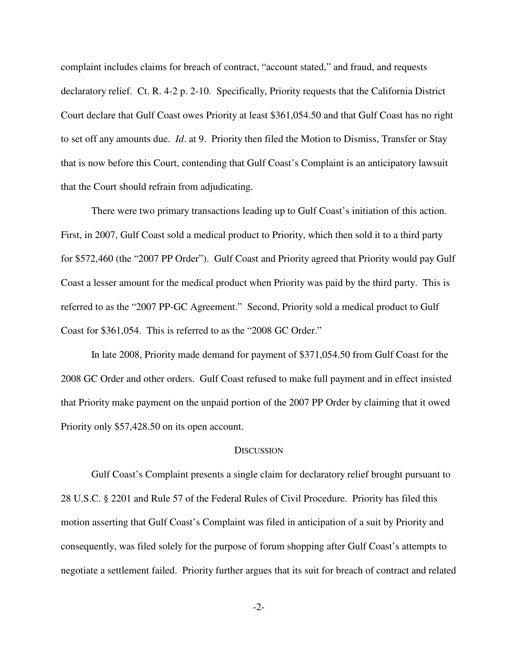complaint includes claims for breach of contract, "account stated," and fraud, and requests declaratory relief. Ct. R. 4-2 p. 2-10. Specifically, Priority requests that the California District Court declare that Gulf Coast owes Priority at least \$361,054.50 and that Gulf Coast has no right to set off any amounts due. *Id*. at 9. Priority then filed the Motion to Dismiss, Transfer or Stay that is now before this Court, contending that Gulf Coast's Complaint is an anticipatory lawsuit that the Court should refrain from adjudicating.

There were two primary transactions leading up to Gulf Coast's initiation of this action. First, in 2007, Gulf Coast sold a medical product to Priority, which then sold it to a third party for \$572,460 (the "2007 PP Order"). Gulf Coast and Priority agreed that Priority would pay Gulf Coast a lesser amount for the medical product when Priority was paid by the third party. This is referred to as the "2007 PP-GC Agreement." Second, Priority sold a medical product to Gulf Coast for \$361,054. This is referred to as the "2008 GC Order."

In late 2008, Priority made demand for payment of \$371,054.50 from Gulf Coast for the 2008 GC Order and other orders. Gulf Coast refused to make full payment and in effect insisted that Priority make payment on the unpaid portion of the 2007 PP Order by claiming that it owed Priority only \$57,428.50 on its open account.

#### **DISCUSSION**

Gulf Coast's Complaint presents a single claim for declaratory relief brought pursuant to 28 U.S.C. § 2201 and Rule 57 of the Federal Rules of Civil Procedure. Priority has filed this motion asserting that Gulf Coast's Complaint was filed in anticipation of a suit by Priority and consequently, was filed solely for the purpose of forum shopping after Gulf Coast's attempts to negotiate a settlement failed. Priority further argues that its suit for breach of contract and related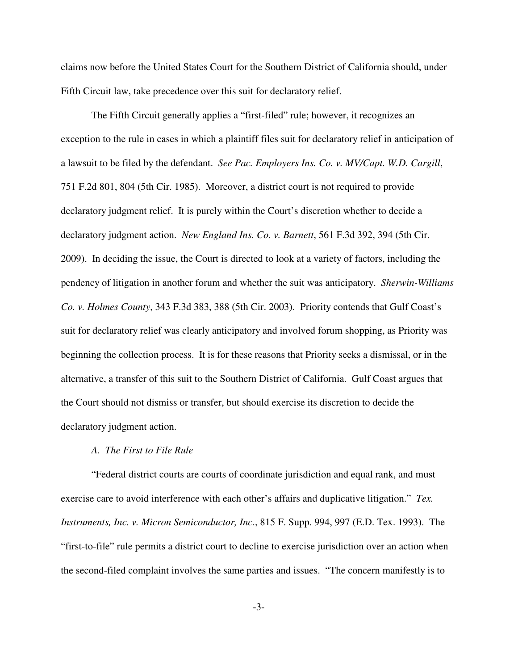claims now before the United States Court for the Southern District of California should, under Fifth Circuit law, take precedence over this suit for declaratory relief.

The Fifth Circuit generally applies a "first-filed" rule; however, it recognizes an exception to the rule in cases in which a plaintiff files suit for declaratory relief in anticipation of a lawsuit to be filed by the defendant. *See Pac. Employers Ins. Co. v. MV/Capt. W.D. Cargill*, 751 F.2d 801, 804 (5th Cir. 1985). Moreover, a district court is not required to provide declaratory judgment relief. It is purely within the Court's discretion whether to decide a declaratory judgment action. *New England Ins. Co. v. Barnett*, 561 F.3d 392, 394 (5th Cir. 2009). In deciding the issue, the Court is directed to look at a variety of factors, including the pendency of litigation in another forum and whether the suit was anticipatory. *Sherwin-Williams Co. v. Holmes County*, 343 F.3d 383, 388 (5th Cir. 2003). Priority contends that Gulf Coast's suit for declaratory relief was clearly anticipatory and involved forum shopping, as Priority was beginning the collection process. It is for these reasons that Priority seeks a dismissal, or in the alternative, a transfer of this suit to the Southern District of California. Gulf Coast argues that the Court should not dismiss or transfer, but should exercise its discretion to decide the declaratory judgment action.

### *A. The First to File Rule*

"Federal district courts are courts of coordinate jurisdiction and equal rank, and must exercise care to avoid interference with each other's affairs and duplicative litigation." *Tex. Instruments, Inc. v. Micron Semiconductor, Inc*., 815 F. Supp. 994, 997 (E.D. Tex. 1993). The "first-to-file" rule permits a district court to decline to exercise jurisdiction over an action when the second-filed complaint involves the same parties and issues. "The concern manifestly is to

-3-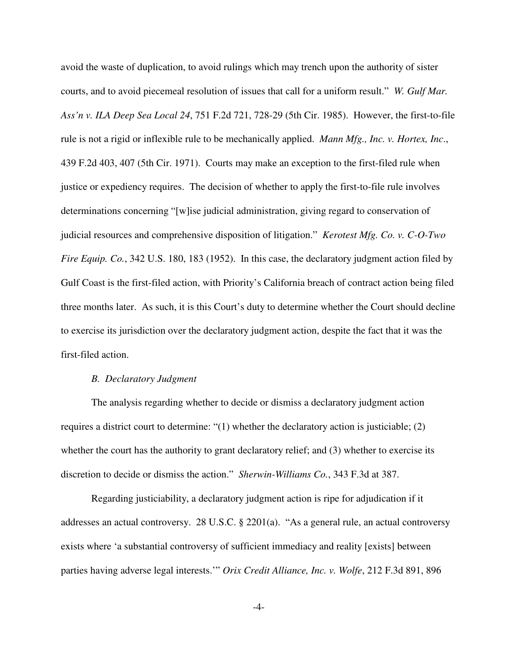avoid the waste of duplication, to avoid rulings which may trench upon the authority of sister courts, and to avoid piecemeal resolution of issues that call for a uniform result." *W. Gulf Mar. Ass'n v. ILA Deep Sea Local 24*, 751 F.2d 721, 728-29 (5th Cir. 1985). However, the first-to-file rule is not a rigid or inflexible rule to be mechanically applied. *Mann Mfg., Inc. v. Hortex, Inc*., 439 F.2d 403, 407 (5th Cir. 1971). Courts may make an exception to the first-filed rule when justice or expediency requires. The decision of whether to apply the first-to-file rule involves determinations concerning "[w]ise judicial administration, giving regard to conservation of judicial resources and comprehensive disposition of litigation." *Kerotest Mfg. Co. v. C-O-Two Fire Equip. Co.*, 342 U.S. 180, 183 (1952). In this case, the declaratory judgment action filed by Gulf Coast is the first-filed action, with Priority's California breach of contract action being filed three months later. As such, it is this Court's duty to determine whether the Court should decline to exercise its jurisdiction over the declaratory judgment action, despite the fact that it was the first-filed action.

## *B. Declaratory Judgment*

The analysis regarding whether to decide or dismiss a declaratory judgment action requires a district court to determine: "(1) whether the declaratory action is justiciable; (2) whether the court has the authority to grant declaratory relief; and (3) whether to exercise its discretion to decide or dismiss the action." *Sherwin-Williams Co.*, 343 F.3d at 387.

Regarding justiciability, a declaratory judgment action is ripe for adjudication if it addresses an actual controversy. 28 U.S.C. § 2201(a). "As a general rule, an actual controversy exists where 'a substantial controversy of sufficient immediacy and reality [exists] between parties having adverse legal interests.'" *Orix Credit Alliance, Inc. v. Wolfe*, 212 F.3d 891, 896

-4-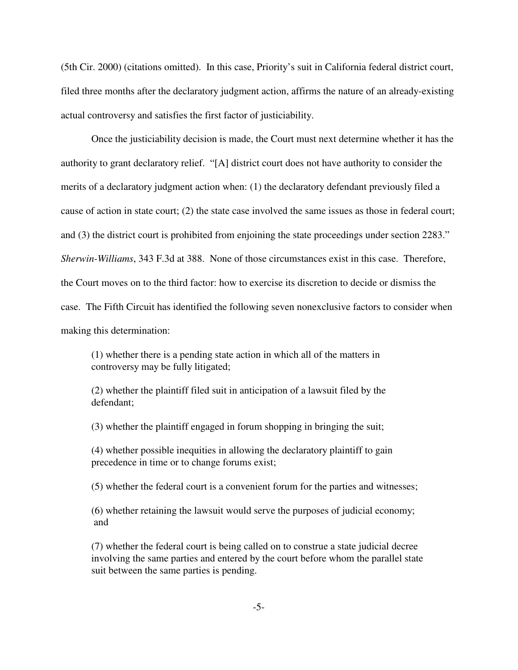(5th Cir. 2000) (citations omitted). In this case, Priority's suit in California federal district court, filed three months after the declaratory judgment action, affirms the nature of an already-existing actual controversy and satisfies the first factor of justiciability.

Once the justiciability decision is made, the Court must next determine whether it has the authority to grant declaratory relief. "[A] district court does not have authority to consider the merits of a declaratory judgment action when: (1) the declaratory defendant previously filed a cause of action in state court; (2) the state case involved the same issues as those in federal court; and (3) the district court is prohibited from enjoining the state proceedings under section 2283." *Sherwin-Williams*, 343 F.3d at 388. None of those circumstances exist in this case. Therefore, the Court moves on to the third factor: how to exercise its discretion to decide or dismiss the case. The Fifth Circuit has identified the following seven nonexclusive factors to consider when making this determination:

(1) whether there is a pending state action in which all of the matters in controversy may be fully litigated;

(2) whether the plaintiff filed suit in anticipation of a lawsuit filed by the defendant;

(3) whether the plaintiff engaged in forum shopping in bringing the suit;

(4) whether possible inequities in allowing the declaratory plaintiff to gain precedence in time or to change forums exist;

(5) whether the federal court is a convenient forum for the parties and witnesses;

(6) whether retaining the lawsuit would serve the purposes of judicial economy; and

(7) whether the federal court is being called on to construe a state judicial decree involving the same parties and entered by the court before whom the parallel state suit between the same parties is pending.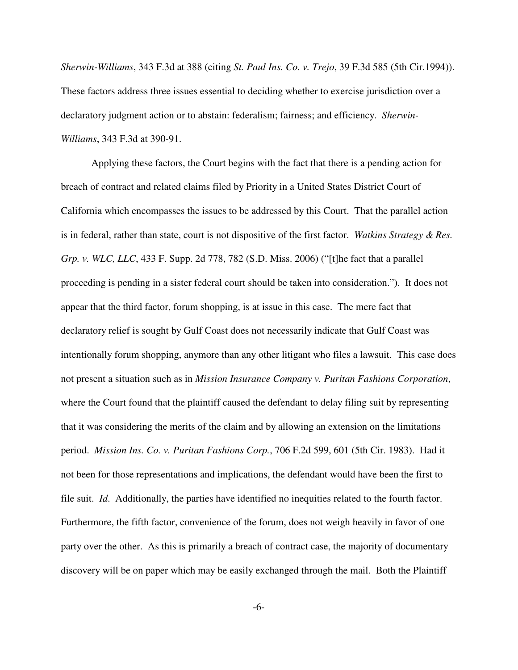*Sherwin-Williams*, 343 F.3d at 388 (citing *St. Paul Ins. Co. v. Trejo*, 39 F.3d 585 (5th Cir.1994)). These factors address three issues essential to deciding whether to exercise jurisdiction over a declaratory judgment action or to abstain: federalism; fairness; and efficiency. *Sherwin-Williams*, 343 F.3d at 390-91.

Applying these factors, the Court begins with the fact that there is a pending action for breach of contract and related claims filed by Priority in a United States District Court of California which encompasses the issues to be addressed by this Court. That the parallel action is in federal, rather than state, court is not dispositive of the first factor. *Watkins Strategy & Res. Grp. v. WLC, LLC*, 433 F. Supp. 2d 778, 782 (S.D. Miss. 2006) ("[t]he fact that a parallel proceeding is pending in a sister federal court should be taken into consideration."). It does not appear that the third factor, forum shopping, is at issue in this case. The mere fact that declaratory relief is sought by Gulf Coast does not necessarily indicate that Gulf Coast was intentionally forum shopping, anymore than any other litigant who files a lawsuit. This case does not present a situation such as in *Mission Insurance Company v. Puritan Fashions Corporation*, where the Court found that the plaintiff caused the defendant to delay filing suit by representing that it was considering the merits of the claim and by allowing an extension on the limitations period. *Mission Ins. Co. v. Puritan Fashions Corp.*, 706 F.2d 599, 601 (5th Cir. 1983). Had it not been for those representations and implications, the defendant would have been the first to file suit. *Id*. Additionally, the parties have identified no inequities related to the fourth factor. Furthermore, the fifth factor, convenience of the forum, does not weigh heavily in favor of one party over the other. As this is primarily a breach of contract case, the majority of documentary discovery will be on paper which may be easily exchanged through the mail. Both the Plaintiff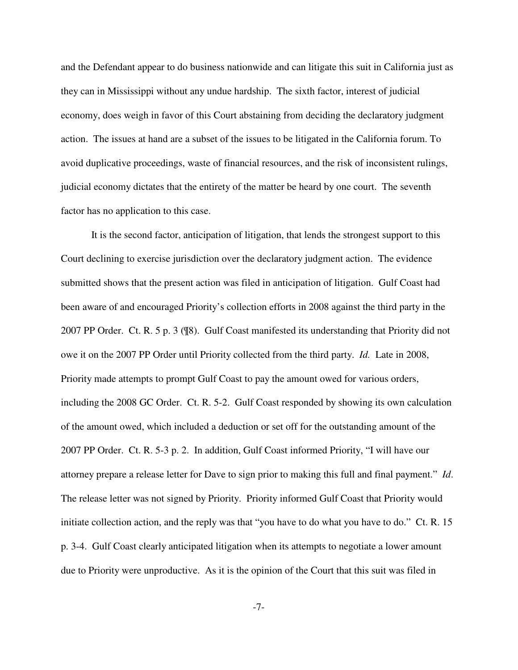and the Defendant appear to do business nationwide and can litigate this suit in California just as they can in Mississippi without any undue hardship. The sixth factor, interest of judicial economy, does weigh in favor of this Court abstaining from deciding the declaratory judgment action. The issues at hand are a subset of the issues to be litigated in the California forum. To avoid duplicative proceedings, waste of financial resources, and the risk of inconsistent rulings, judicial economy dictates that the entirety of the matter be heard by one court. The seventh factor has no application to this case.

It is the second factor, anticipation of litigation, that lends the strongest support to this Court declining to exercise jurisdiction over the declaratory judgment action. The evidence submitted shows that the present action was filed in anticipation of litigation. Gulf Coast had been aware of and encouraged Priority's collection efforts in 2008 against the third party in the 2007 PP Order. Ct. R. 5 p. 3 (¶8). Gulf Coast manifested its understanding that Priority did not owe it on the 2007 PP Order until Priority collected from the third party. *Id.* Late in 2008, Priority made attempts to prompt Gulf Coast to pay the amount owed for various orders, including the 2008 GC Order. Ct. R. 5-2. Gulf Coast responded by showing its own calculation of the amount owed, which included a deduction or set off for the outstanding amount of the 2007 PP Order. Ct. R. 5-3 p. 2. In addition, Gulf Coast informed Priority, "I will have our attorney prepare a release letter for Dave to sign prior to making this full and final payment." *Id*. The release letter was not signed by Priority. Priority informed Gulf Coast that Priority would initiate collection action, and the reply was that "you have to do what you have to do." Ct. R. 15 p. 3-4. Gulf Coast clearly anticipated litigation when its attempts to negotiate a lower amount due to Priority were unproductive. As it is the opinion of the Court that this suit was filed in